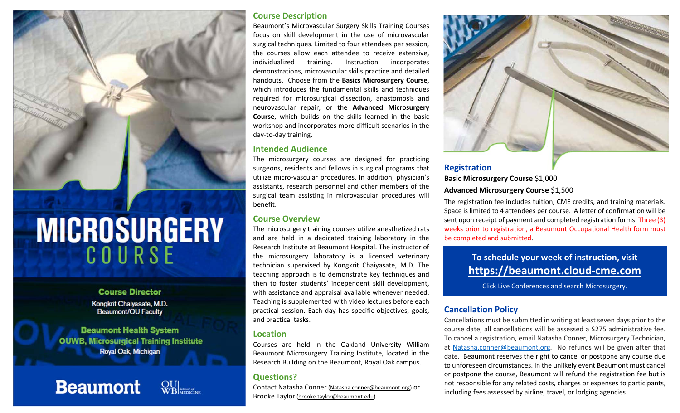

# **Course Director**

Kongkrit Chaiyasate, M.D. Beaumont/OU Faculty

**Beaumont Health System OUWB, Microsurgical Training Institute Royal Oak, Michigan** 

**Beaumont** 

### **Course Description**

Beaumont's Microvascular Surgery Skills Training Courses focus on skill development in the use of microvascular surgical techniques. Limited to four attendees per session, the courses allow each attendee to receive extensive, individualized training. Instruction incorporates demonstrations, microvascular skills practice and detailed handouts. Choose from the **Basics Microsurgery Course**, which introduces the fundamental skills and techniques required for microsurgical dissection, anastomosis and neurovascular repair, or the **Advanced Microsurgery Course**, which builds on the skills learned in the basic workshop and incorporates more difficult scenarios in the day‐to‐day training.

### **Intended Audience**

The microsurgery courses are designed for practicing surgeons, residents and fellows in surgical programs that utilize micro‐vascular procedures. In addition, physician's assistants, research personnel and other members of the surgical team assisting in microvascular procedures will benefit.

### **Course Overview**

The microsurgery training courses utilize anesthetized rats and are held in <sup>a</sup> dedicated training laboratory in the Research Institute at Beaumont Hospital. The instructor of the microsurgery laboratory is <sup>a</sup> licensed veterinary technician supervised by Kongkrit Chaiyasate, M.D. The teaching approach is to demonstrate key techniques and then to foster students' independent skill development, with assistance and appraisal available whenever needed. Teaching is supplemented with video lectures before each practical session. Each day has specific objectives, goals, and practical tasks.

### **Location**

Courses are held in the Oakland University William Beaumont Microsurgery Training Institute, located in the Research Building on the Beaumont, Royal Oak campus.

## **Questions?**

Contact Natasha Conner (Natasha.conner@beaumont.org) or Brooke Taylor (<u>brooke.taylor@beaumont.edu</u>)



## **Registration Basic Microsurgery Course** \$1,000 **Advanced Microsurgery Course** \$1,500

The registration fee includes tuition, CME credits, and training materials. Space is limited to 4 attendees per course. A letter of confirmation will be sent upon receipt of payment and completed registration forms. Three (3) weeks prior to registration, <sup>a</sup> Beaumont Occupational Health form must be completed and submitted.

## **To schedule your week of instruction, visit https://beaumont.cloud‐cme.com**

Click Live Conferences and search Microsurgery.

### **Cancellation Policy**

Cancellations must be submitted in writing at least seven days prior to the course date; all cancellations will be assessed <sup>a</sup> \$275 administrative fee. To cancel <sup>a</sup> registration, email Natasha Conner, Microsurgery Technician, at Natasha.conner@beaumont.org. No refunds will be given after that date. Beaumont reserves the right to cancel or postpone any course due to unforeseen circumstances. In the unlikely event Beaumont must cancel or postpone the course, Beaumont will refund the registration fee but is not responsible for any related costs, charges or expenses to participants, including fees assessed by airline, travel, or lodging agencies.